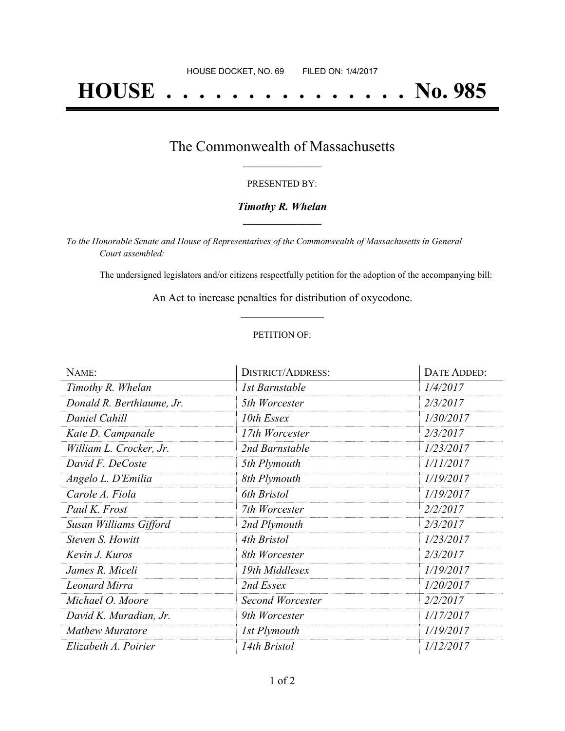# **HOUSE . . . . . . . . . . . . . . . No. 985**

## The Commonwealth of Massachusetts **\_\_\_\_\_\_\_\_\_\_\_\_\_\_\_\_\_**

#### PRESENTED BY:

#### *Timothy R. Whelan* **\_\_\_\_\_\_\_\_\_\_\_\_\_\_\_\_\_**

*To the Honorable Senate and House of Representatives of the Commonwealth of Massachusetts in General Court assembled:*

The undersigned legislators and/or citizens respectfully petition for the adoption of the accompanying bill:

An Act to increase penalties for distribution of oxycodone. **\_\_\_\_\_\_\_\_\_\_\_\_\_\_\_**

#### PETITION OF:

| NAME:                     | <b>DISTRICT/ADDRESS:</b> | <b>DATE ADDED:</b> |
|---------------------------|--------------------------|--------------------|
| Timothy R. Whelan         | 1st Barnstable           | 1/4/2017           |
| Donald R. Berthiaume, Jr. | 5th Worcester            | 2/3/2017           |
| Daniel Cahill             | 10th Essex               | 1/30/2017          |
| Kate D. Campanale         | 17th Worcester           | 2/3/2017           |
| William L. Crocker, Jr.   | 2nd Barnstable           | 1/23/2017          |
| David F. DeCoste          | 5th Plymouth             | 1/11/2017          |
| Angelo L. D'Emilia        | 8th Plymouth             | 1/19/2017          |
| Carole A. Fiola           | 6th Bristol              | 1/19/2017          |
| Paul K. Frost             | 7th Worcester            | 2/2/2017           |
| Susan Williams Gifford    | 2nd Plymouth             | 2/3/2017           |
| Steven S. Howitt          | 4th Bristol              | 1/23/2017          |
| Kevin J. Kuros            | 8th Worcester            | 2/3/2017           |
| James R. Miceli           | 19th Middlesex           | 1/19/2017          |
| Leonard Mirra             | 2nd Essex                | 1/20/2017          |
| Michael O. Moore          | Second Worcester         | 2/2/2017           |
| David K. Muradian, Jr.    | 9th Worcester            | 1/17/2017          |
| <b>Mathew Muratore</b>    | 1st Plymouth             | 1/19/2017          |
| Elizabeth A. Poirier      | 14th Bristol             | 1/12/2017          |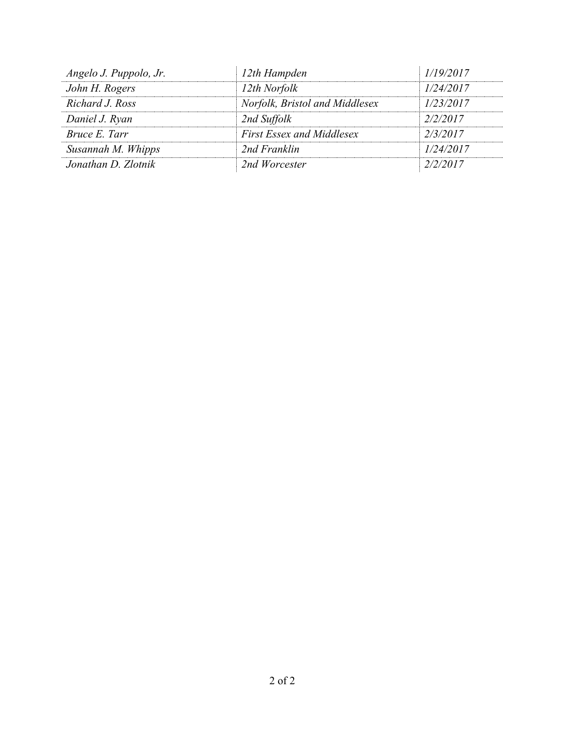| 12th Hampden                     | 1/19/2017 |
|----------------------------------|-----------|
| 12th Norfolk                     | 1/24/2017 |
| Norfolk, Bristol and Middlesex   | 1/23/2017 |
| 2nd Suffolk                      | 2/2/2017  |
| <b>First Essex and Middlesex</b> | 2/3/2017  |
| 2nd Franklin                     | 1/24/2017 |
| 2nd Worcester                    | 2/2/2017  |
|                                  |           |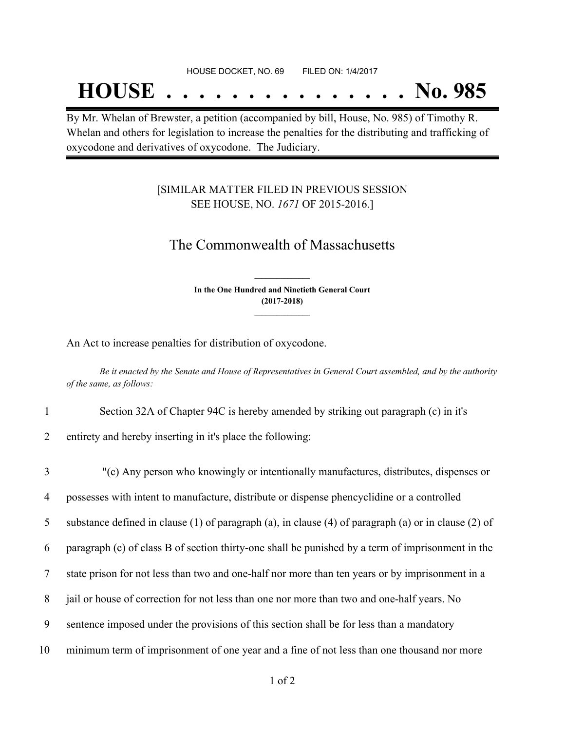## **HOUSE . . . . . . . . . . . . . . . No. 985**

By Mr. Whelan of Brewster, a petition (accompanied by bill, House, No. 985) of Timothy R. Whelan and others for legislation to increase the penalties for the distributing and trafficking of oxycodone and derivatives of oxycodone. The Judiciary.

### [SIMILAR MATTER FILED IN PREVIOUS SESSION SEE HOUSE, NO. *1671* OF 2015-2016.]

## The Commonwealth of Massachusetts

**In the One Hundred and Ninetieth General Court (2017-2018) \_\_\_\_\_\_\_\_\_\_\_\_\_\_\_**

**\_\_\_\_\_\_\_\_\_\_\_\_\_\_\_**

An Act to increase penalties for distribution of oxycodone.

Be it enacted by the Senate and House of Representatives in General Court assembled, and by the authority *of the same, as follows:*

1 Section 32A of Chapter 94C is hereby amended by striking out paragraph (c) in it's

2 entirety and hereby inserting in it's place the following:

 "(c) Any person who knowingly or intentionally manufactures, distributes, dispenses or possesses with intent to manufacture, distribute or dispense phencyclidine or a controlled substance defined in clause (1) of paragraph (a), in clause (4) of paragraph (a) or in clause (2) of paragraph (c) of class B of section thirty-one shall be punished by a term of imprisonment in the state prison for not less than two and one-half nor more than ten years or by imprisonment in a jail or house of correction for not less than one nor more than two and one-half years. No sentence imposed under the provisions of this section shall be for less than a mandatory minimum term of imprisonment of one year and a fine of not less than one thousand nor more